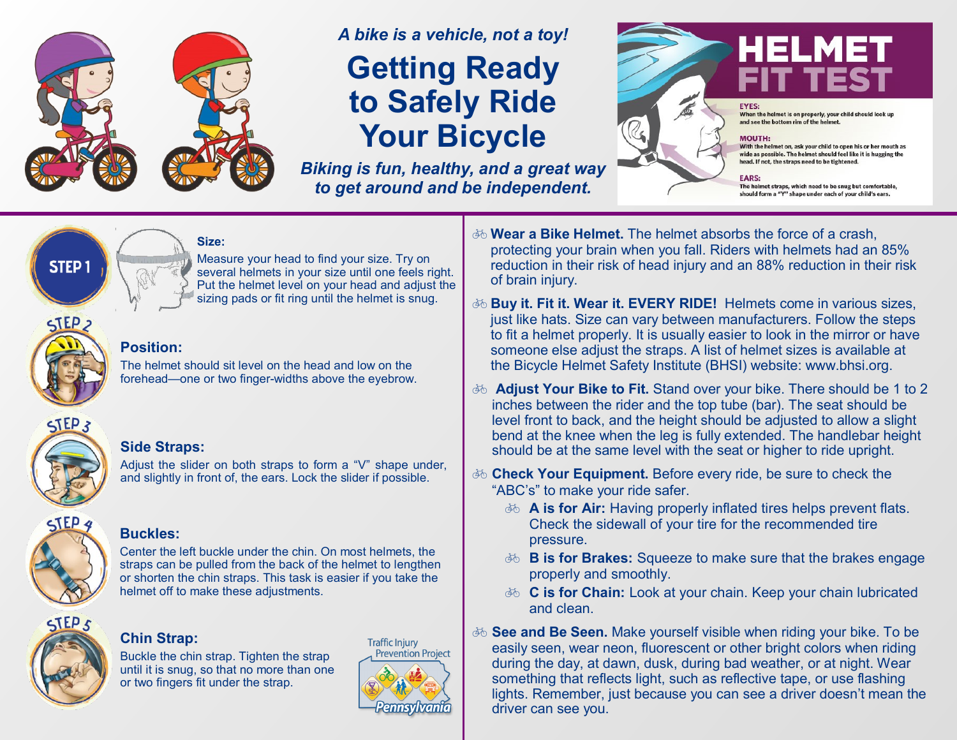

## *A bike is a vehicle, not a toy!*  **Getting Ready to Safely Ride Your Bicycle**

*Biking is fun, healthy, and a great way to get around and be independent.* 



When the helmet is on properly, your child should look u and see the bottom rim of the helmet.

#### **MOUTH:**

With the helmet on, ask your child to open his or her mouth as wide as possible. The helmet should feel like it is hugging the head. If not, the straps need to be tightened.

**FARS-**

The helmet straps, which need to be snug but comfortable, should form a "Y" shape under each of your child's ears.

#### **Size:**

Measure your head to find your size. Try on several helmets in your size until one feels right. Put the helmet level on your head and adjust the sizing pads or fit ring until the helmet is snug.



**STEP1** 

#### **Position:**

The helmet should sit level on the head and low on the forehead—one or two finger-widths above the eyebrow.



#### **Side Straps:**

Adjust the slider on both straps to form a "V" shape under, and slightly in front of, the ears. Lock the slider if possible.



#### **Buckles:**

Center the left buckle under the chin. On most helmets, the straps can be pulled from the back of the helmet to lengthen or shorten the chin straps. This task is easier if you take the helmet off to make these adjustments.



#### **Chin Strap:**

Buckle the chin strap. Tighten the strap until it is snug, so that no more than one or two fingers fit under the strap.



- $\overline{\phi}$  **Wear a Bike Helmet.** The helmet absorbs the force of a crash, protecting your brain when you fall. Riders with helmets had an 85% reduction in their risk of head injury and an 88% reduction in their risk of brain injury.
- **Buy it. Fit it. Wear it. EVERY RIDE!** Helmets come in various sizes, just like hats. Size can vary between manufacturers. Follow the steps to fit a helmet properly. It is usually easier to look in the mirror or have someone else adjust the straps. A list of helmet sizes is available at the Bicycle Helmet Safety Institute (BHSI) website: www.bhsi.org.
- **Adjust Your Bike to Fit.** Stand over your bike. There should be 1 to 2 inches between the rider and the top tube (bar). The seat should be level front to back, and the height should be adjusted to allow a slight bend at the knee when the leg is fully extended. The handlebar height should be at the same level with the seat or higher to ride upright.
- **Check Your Equipment.** Before every ride, be sure to check the "ABC's" to make your ride safer.
	- $\delta$  **A** is for Air: Having properly inflated tires helps prevent flats. Check the sidewall of your tire for the recommended tire pressure.
	- **B is for Brakes:** Squeeze to make sure that the brakes engage properly and smoothly.
	- *F***<sub>0</sub> C** is for Chain: Look at your chain. Keep your chain lubricated and clean.
- **See and Be Seen.** Make yourself visible when riding your bike. To be easily seen, wear neon, fluorescent or other bright colors when riding during the day, at dawn, dusk, during bad weather, or at night. Wear something that reflects light, such as reflective tape, or use flashing lights. Remember, just because you can see a driver doesn't mean the driver can see you.